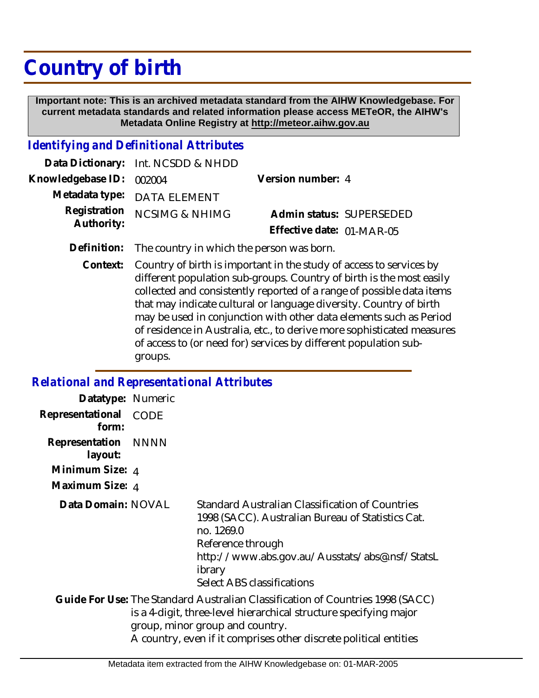# **Country of birth**

 **Important note: This is an archived metadata standard from the AIHW Knowledgebase. For current metadata standards and related information please access METeOR, the AIHW's Metadata Online Registry at http://meteor.aihw.gov.au**

## *Identifying and Definitional Attributes*

|                          | Data Dictionary: Int. NCSDD & NHDD |                           |  |
|--------------------------|------------------------------------|---------------------------|--|
| Knowledgebase ID: 002004 |                                    | Version number: 4         |  |
|                          | Metadata type: DATA ELEMENT        |                           |  |
|                          | Registration NCSIMG & NHIMG        | Admin status: SUPERSEDED  |  |
| Authority:               |                                    | Effective date: 01-MAR-05 |  |

- **Definition:** The country in which the person was born.
	- Country of birth is important in the study of access to services by different population sub-groups. Country of birth is the most easily collected and consistently reported of a range of possible data items that may indicate cultural or language diversity. Country of birth may be used in conjunction with other data elements such as Period of residence in Australia, etc., to derive more sophisticated measures of access to (or need for) services by different population subgroups. **Context:**

#### *Relational and Representational Attributes*

| Datatype: Numeric              |      |                                                                                                                                                                                                                                                             |
|--------------------------------|------|-------------------------------------------------------------------------------------------------------------------------------------------------------------------------------------------------------------------------------------------------------------|
| Representational<br>form:      | CODE |                                                                                                                                                                                                                                                             |
| Representation NNNN<br>layout: |      |                                                                                                                                                                                                                                                             |
| Minimum Size: 4                |      |                                                                                                                                                                                                                                                             |
| Maximum Size: 4                |      |                                                                                                                                                                                                                                                             |
| Data Domain: NOVAL             |      | Standard Australian Classification of Countries<br>1998 (SACC). Australian Bureau of Statistics Cat.<br>no. 1269.0<br>Reference through<br>http://www.abs.gov.au/Ausstats/abs@.nsf/StatsL<br>ibrary<br>Select ABS classifications                           |
|                                |      | Guide For Use: The Standard Australian Classification of Countries 1998 (SACC)<br>is a 4-digit, three-level hierarchical structure specifying major<br>group, minor group and country.<br>A country, even if it comprises other discrete political entities |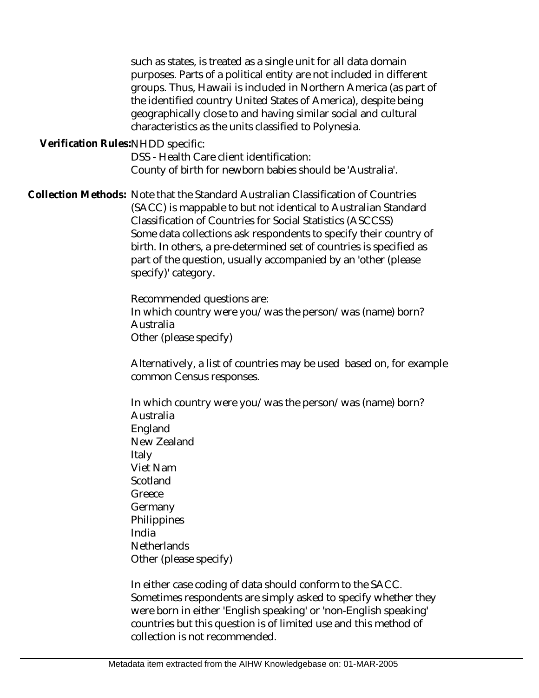such as states, is treated as a single unit for all data domain purposes. Parts of a political entity are not included in different groups. Thus, Hawaii is included in Northern America (as part of the identified country United States of America), despite being geographically close to and having similar social and cultural characteristics as the units classified to Polynesia.

Verification Rules:NHDD specific:

DSS - Health Care client identification: County of birth for newborn babies should be 'Australia'.

Collection Methods: Note that the Standard Australian Classification of Countries (SACC) is mappable to but not identical to Australian Standard Classification of Countries for Social Statistics (ASCCSS) Some data collections ask respondents to specify their country of birth. In others, a pre-determined set of countries is specified as part of the question, usually accompanied by an 'other (please specify)' category.

> Recommended questions are: In which country were you/was the person/was (name) born? Australia Other (please specify)

Alternatively, a list of countries may be used based on, for example common Census responses.

In which country were you/was the person/was (name) born? Australia England New Zealand Italy Viet Nam **Scotland Greece** Germany **Philippines** India **Netherlands** Other (please specify)

In either case coding of data should conform to the SACC. Sometimes respondents are simply asked to specify whether they were born in either 'English speaking' or 'non-English speaking' countries but this question is of limited use and this method of collection is not recommended.